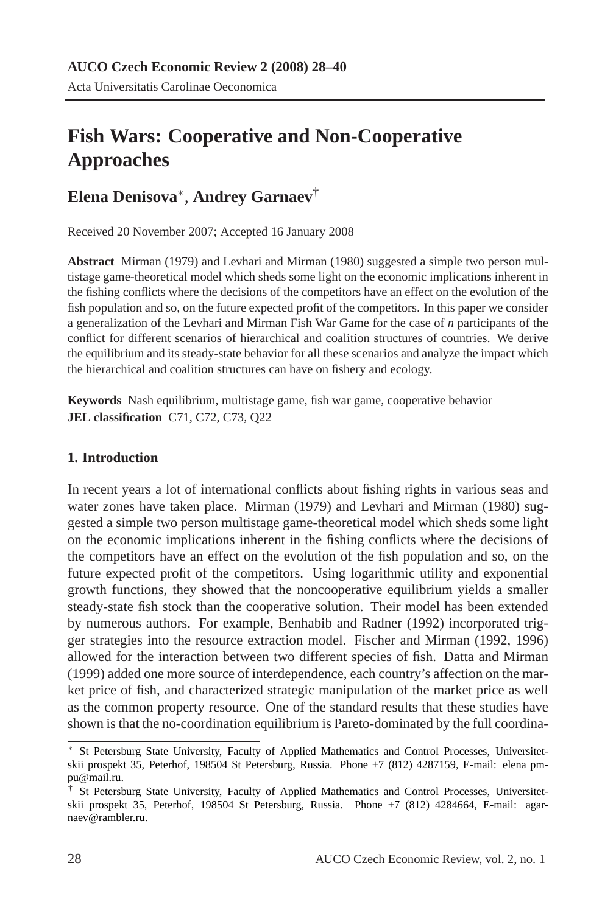# **Fish Wars: Cooperative and Non-Cooperative Approaches**

# **Elena Denisova**<sup>∗</sup> , **Andrey Garnaev**†

Received 20 November 2007; Accepted 16 January 2008

**Abstract** Mirman (1979) and Levhari and Mirman (1980) suggested a simple two person multistage game-theoretical model which sheds some light on the economic implications inherent in the fishing conflicts where the decisions of the competitors have an effect on the evolution of the fish population and so, on the future expected profit of the competitors. In this paper we consider a generalization of the Levhari and Mirman Fish War Game for the case of *n* participants of the conflict for different scenarios of hierarchical and coalition structures of countries. We derive the equilibrium and its steady-state behavior for all these scenarios and analyze the impact which the hierarchical and coalition structures can have on fishery and ecology.

**Keywords** Nash equilibrium, multistage game, fish war game, cooperative behavior **JEL classification** C71, C72, C73, Q22

## **1. Introduction**

In recent years a lot of international conflicts about fishing rights in various seas and water zones have taken place. Mirman (1979) and Levhari and Mirman (1980) suggested a simple two person multistage game-theoretical model which sheds some light on the economic implications inherent in the fishing conflicts where the decisions of the competitors have an effect on the evolution of the fish population and so, on the future expected profit of the competitors. Using logarithmic utility and exponential growth functions, they showed that the noncooperative equilibrium yields a smaller steady-state fish stock than the cooperative solution. Their model has been extended by numerous authors. For example, Benhabib and Radner (1992) incorporated trigger strategies into the resource extraction model. Fischer and Mirman (1992, 1996) allowed for the interaction between two different species of fish. Datta and Mirman (1999) added one more source of interdependence, each country's affection on the market price of fish, and characterized strategic manipulation of the market price as well as the common property resource. One of the standard results that these studies have shown is that the no-coordination equilibrium is Pareto-dominated by the full coordina-

<sup>∗</sup> St Petersburg State University, Faculty of Applied Mathematics and Control Processes, Universitetskii prospekt 35, Peterhof, 198504 St Petersburg, Russia. Phone +7 (812) 4287159, E-mail: elena pmpu@mail.ru.

<sup>†</sup> St Petersburg State University, Faculty of Applied Mathematics and Control Processes, Universitetskii prospekt 35, Peterhof, 198504 St Petersburg, Russia. Phone +7 (812) 4284664, E-mail: agarnaev@rambler.ru.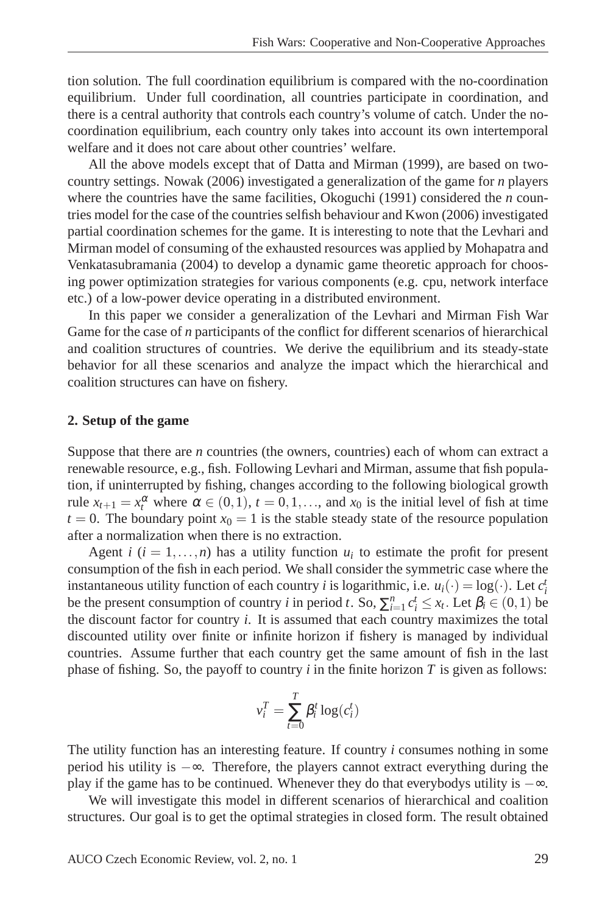tion solution. The full coordination equilibrium is compared with the no-coordination equilibrium. Under full coordination, all countries participate in coordination, and there is a central authority that controls each country's volume of catch. Under the nocoordination equilibrium, each country only takes into account its own intertemporal welfare and it does not care about other countries' welfare.

All the above models except that of Datta and Mirman (1999), are based on twocountry settings. Nowak (2006) investigated a generalization of the game for *n* players where the countries have the same facilities, Okoguchi (1991) considered the *n* countries model for the case of the countries selfish behaviour and Kwon (2006) investigated partial coordination schemes for the game. It is interesting to note that the Levhari and Mirman model of consuming of the exhausted resources was applied by Mohapatra and Venkatasubramania (2004) to develop a dynamic game theoretic approach for choosing power optimization strategies for various components (e.g. cpu, network interface etc.) of a low-power device operating in a distributed environment.

In this paper we consider a generalization of the Levhari and Mirman Fish War Game for the case of *n* participants of the conflict for different scenarios of hierarchical and coalition structures of countries. We derive the equilibrium and its steady-state behavior for all these scenarios and analyze the impact which the hierarchical and coalition structures can have on fishery.

#### **2. Setup of the game**

Suppose that there are *n* countries (the owners, countries) each of whom can extract a renewable resource, e.g., fish. Following Levhari and Mirman, assume that fish population, if uninterrupted by fishing, changes according to the following biological growth rule  $x_{t+1} = x_t^{\alpha}$  where  $\alpha \in (0,1)$ ,  $t = 0,1,...$ , and  $x_0$  is the initial level of fish at time  $t = 0$ . The boundary point  $x_0 = 1$  is the stable steady state of the resource population after a normalization when there is no extraction.

Agent *i*  $(i = 1, \ldots, n)$  has a utility function  $u_i$  to estimate the profit for present consumption of the fish in each period. We shall consider the symmetric case where the instantaneous utility function of each country *i* is logarithmic, i.e.  $u_i(\cdot) = \log(\cdot)$ . Let  $c_i^i$ be the present consumption of country *i* in period *t*. So,  $\sum_{i=1}^{n} c_i^t \leq x_t$ . Let  $\beta_i \in (0,1)$  be the discount factor for country *i*. It is assumed that each country maximizes the total discounted utility over finite or infinite horizon if fishery is managed by individual countries. Assume further that each country get the same amount of fish in the last phase of fishing. So, the payoff to country  $i$  in the finite horizon  $T$  is given as follows:

$$
v_i^T = \sum_{t=0}^T \beta_i^t \log(c_i^t)
$$

The utility function has an interesting feature. If country *i* consumes nothing in some period his utility is −∞. Therefore, the players cannot extract everything during the play if the game has to be continued. Whenever they do that everybodys utility is −∞.

We will investigate this model in different scenarios of hierarchical and coalition structures. Our goal is to get the optimal strategies in closed form. The result obtained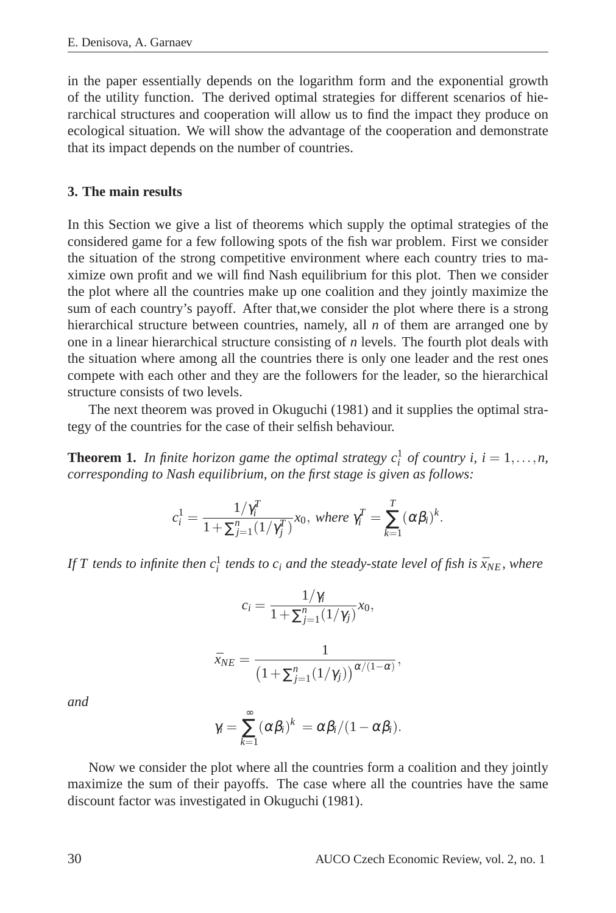in the paper essentially depends on the logarithm form and the exponential growth of the utility function. The derived optimal strategies for different scenarios of hierarchical structures and cooperation will allow us to find the impact they produce on ecological situation. We will show the advantage of the cooperation and demonstrate that its impact depends on the number of countries.

#### **3. The main results**

In this Section we give a list of theorems which supply the optimal strategies of the considered game for a few following spots of the fish war problem. First we consider the situation of the strong competitive environment where each country tries to maximize own profit and we will find Nash equilibrium for this plot. Then we consider the plot where all the countries make up one coalition and they jointly maximize the sum of each country's payoff. After that,we consider the plot where there is a strong hierarchical structure between countries, namely, all *n* of them are arranged one by one in a linear hierarchical structure consisting of *n* levels. The fourth plot deals with the situation where among all the countries there is only one leader and the rest ones compete with each other and they are the followers for the leader, so the hierarchical structure consists of two levels.

The next theorem was proved in Okuguchi (1981) and it supplies the optimal strategy of the countries for the case of their selfish behaviour.

**Theorem 1.** In finite horizon game the optimal strategy  $c_i^1$  of country i,  $i = 1,...,n$ , *corresponding to Nash equilibrium, on the first stage is given as follows:*

$$
c_i^1 = \frac{1/\gamma_i^T}{1 + \sum_{j=1}^n (1/\gamma_j^T)} x_0, \text{ where } \gamma_i^T = \sum_{k=1}^T (\alpha \beta_i)^k.
$$

*If*  $T$  tends to infinite then  $c_i^1$  tends to  $c_i$  and the steady-state level of fish is  $\bar{x}_{NE}$ , where

$$
c_i = \frac{1/\gamma_i}{1 + \sum_{j=1}^n (1/\gamma_j)} x_0,
$$
  

$$
\bar{x}_{NE} = \frac{1}{\left(1 + \sum_{j=1}^n (1/\gamma_j)\right)^{\alpha/(1-\alpha)}},
$$

*and*

$$
\gamma_i = \sum_{k=1}^{\infty} (\alpha \beta_i)^k = \alpha \beta_i / (1 - \alpha \beta_i).
$$

Now we consider the plot where all the countries form a coalition and they jointly maximize the sum of their payoffs. The case where all the countries have the same discount factor was investigated in Okuguchi (1981).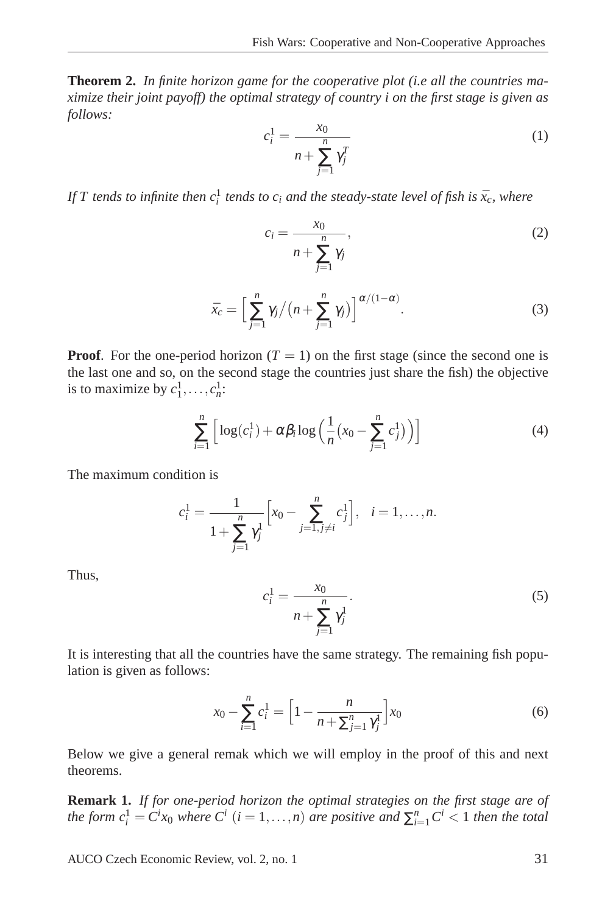**Theorem 2.** *In finite horizon game for the cooperative plot (i.e all the countries maximize their joint payoff) the optimal strategy of country i on the first stage is given as follows:*

$$
c_i^1 = \frac{x_0}{n + \sum_{j=1}^n \gamma_j^T}
$$
 (1)

*If*  $T$  tends to infinite then  $c_i^1$  tends to  $c_i$  and the steady-state level of fish is  $\bar{x}_c$ , where

$$
c_i = \frac{x_0}{n + \sum_{j=1}^n \gamma_j},\tag{2}
$$

$$
\bar{x}_c = \left[\sum_{j=1}^n \gamma_j / (n + \sum_{j=1}^n \gamma_j)\right]^{\alpha/(1-\alpha)}.
$$
\n(3)

**Proof.** For the one-period horizon ( $T = 1$ ) on the first stage (since the second one is the last one and so, on the second stage the countries just share the fish) the objective is to maximize by  $c_1^1, \ldots, c_n^1$ :

$$
\sum_{i=1}^{n} \left[ \log(c_i^1) + \alpha \beta_i \log \left( \frac{1}{n} \left( x_0 - \sum_{j=1}^{n} c_j^1 \right) \right) \right]
$$
 (4)

The maximum condition is

$$
c_i^1 = \frac{1}{1 + \sum_{j=1}^n \gamma_j^1} \left[ x_0 - \sum_{j=1, j \neq i}^n c_j^1 \right], \quad i = 1, \dots, n.
$$

Thus,

$$
c_i^1 = \frac{x_0}{n + \sum_{j=1}^n \gamma_j^1}.
$$
 (5)

It is interesting that all the countries have the same strategy. The remaining fish population is given as follows:

$$
x_0 - \sum_{i=1}^n c_i^1 = \left[1 - \frac{n}{n + \sum_{j=1}^n \gamma_j^1}\right] x_0 \tag{6}
$$

Below we give a general remak which we will employ in the proof of this and next theorems.

**Remark 1.** *If for one-period horizon the optimal strategies on the first stage are of the form*  $c_i^1 = C^i x_0$  *where*  $C^i$  (*i* = 1,...,*n*) *are positive and*  $\sum_{i=1}^n C^i < 1$  *then the total*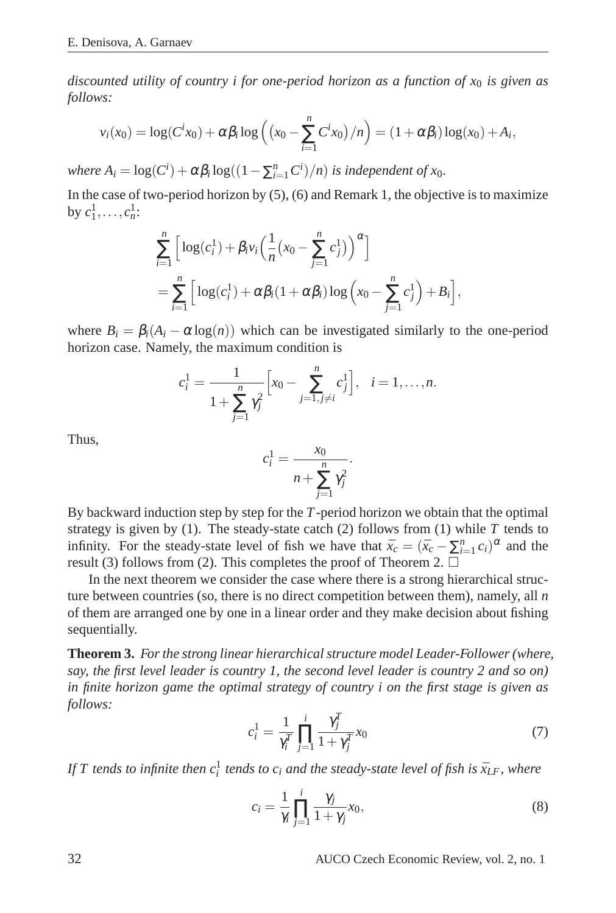*discounted utility of country i for one-period horizon as a function of x*<sup>0</sup> *is given as follows:*

$$
v_i(x_0) = \log(C^ix_0) + \alpha \beta_i \log\left(\left(x_0 - \sum_{i=1}^n C^ix_0\right)/n\right) = (1 + \alpha \beta_i) \log(x_0) + A_i,
$$

*where*  $A_i = \log(C^i) + \alpha \beta_i \log((1 - \sum_{i=1}^n C^i)/n)$  *is independent of x*<sub>0</sub>*.* 

In the case of two-period horizon by  $(5)$ ,  $(6)$  and Remark 1, the objective is to maximize by  $c_1^1, \ldots, c_n^1$ :

$$
\sum_{i=1}^{n} \left[ \log(c_i^1) + \beta_i v_i \left( \frac{1}{n} (x_0 - \sum_{j=1}^{n} c_j^1) \right)^{\alpha} \right]
$$
\n
$$
= \sum_{i=1}^{n} \left[ \log(c_i^1) + \alpha \beta_i (1 + \alpha \beta_i) \log \left( x_0 - \sum_{j=1}^{n} c_j^1 \right) + B_i \right],
$$

where  $B_i = \beta_i (A_i - \alpha \log(n))$  which can be investigated similarly to the one-period horizon case. Namely, the maximum condition is

$$
c_i^1 = \frac{1}{1 + \sum_{j=1}^n \gamma_j^2} \left[ x_0 - \sum_{j=1, j \neq i}^n c_j^1 \right], \quad i = 1, \dots, n.
$$

Thus,

$$
c_i^1 = \frac{x_0}{n + \sum_{j=1}^n \gamma_j^2}.
$$

By backward induction step by step for the *T*-period horizon we obtain that the optimal strategy is given by (1). The steady-state catch (2) follows from (1) while *T* tends to infinity. For the steady-state level of fish we have that  $\bar{x}_c = (\bar{x}_c - \sum_{i=1}^n c_i)^{\alpha}$  and the result (3) follows from (2). This completes the proof of Theorem 2.  $\Box$ 

In the next theorem we consider the case where there is a strong hierarchical structure between countries (so, there is no direct competition between them), namely, all *n* of them are arranged one by one in a linear order and they make decision about fishing sequentially.

**Theorem 3.** *For the strong linear hierarchical structure model Leader-Follower (where, say, the first level leader is country 1, the second level leader is country 2 and so on) in finite horizon game the optimal strategy of country i on the first stage is given as follows:*

$$
c_i^1 = \frac{1}{\gamma_i^T} \prod_{j=1}^i \frac{\gamma_j^T}{1 + \gamma_j^T} x_0 \tag{7}
$$

*If*  $T$  tends to infinite then  $c_i^1$  tends to  $c_i$  and the steady-state level of fish is  $\bar{x}_{LF}$  , where

$$
c_i = \frac{1}{\gamma_i} \prod_{j=1}^i \frac{\gamma_j}{1 + \gamma_j} x_0,\tag{8}
$$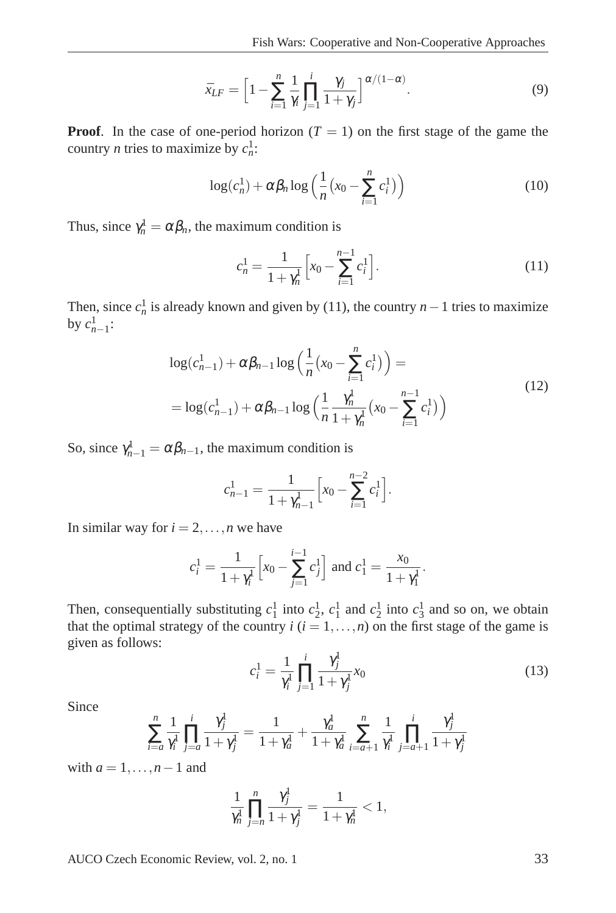$$
\bar{x}_{LF} = \left[1 - \sum_{i=1}^{n} \frac{1}{\gamma_i} \prod_{j=1}^{i} \frac{\gamma_j}{1 + \gamma_j}\right]^{\alpha/(1 - \alpha)}.
$$
\n(9)

**Proof.** In the case of one-period horizon ( $T = 1$ ) on the first stage of the game the country *n* tries to maximize by  $c_n^1$ :

$$
\log(c_n^1) + \alpha \beta_n \log\left(\frac{1}{n} \left(x_0 - \sum_{i=1}^n c_i^1\right)\right) \tag{10}
$$

Thus, since  $\gamma_n^1 = \alpha \beta_n$ , the maximum condition is

$$
c_n^1 = \frac{1}{1 + \gamma_n^1} \left[ x_0 - \sum_{i=1}^{n-1} c_i^1 \right].
$$
 (11)

Then, since  $c_n^1$  is already known and given by (11), the country *n* − 1 tries to maximize by  $c_{n-1}^1$ :

$$
\log(c_{n-1}^1) + \alpha \beta_{n-1} \log \left( \frac{1}{n} (x_0 - \sum_{i=1}^n c_i^1) \right) =
$$
  
= 
$$
\log(c_{n-1}^1) + \alpha \beta_{n-1} \log \left( \frac{1}{n} \frac{\gamma_n^1}{1 + \gamma_n^1} (x_0 - \sum_{i=1}^{n-1} c_i^1) \right)
$$
 (12)

So, since  $\gamma_{n-1}^1 = \alpha \beta_{n-1}$ , the maximum condition is

$$
c_{n-1}^1 = \frac{1}{1 + \gamma_{n-1}^1} \left[ x_0 - \sum_{i=1}^{n-2} c_i^1 \right].
$$

In similar way for  $i = 2, \ldots, n$  we have

$$
c_i^1 = \frac{1}{1 + \gamma_i^1} \left[ x_0 - \sum_{j=1}^{i-1} c_j^1 \right] \text{ and } c_1^1 = \frac{x_0}{1 + \gamma_1^1}.
$$

Then, consequentially substituting  $c_1^1$  into  $c_2^1$ ,  $c_1^1$  and  $c_2^1$  into  $c_3^1$  and so on, we obtain that the optimal strategy of the country  $i$  ( $i = 1, ..., n$ ) on the first stage of the game is given as follows:

$$
c_i^1 = \frac{1}{\gamma_i^1} \prod_{j=1}^i \frac{\gamma_j^1}{1 + \gamma_j^1} x_0
$$
\n(13)

Since

$$
\sum_{i=a}^{n} \frac{1}{\gamma_i^1} \prod_{j=a}^{i} \frac{\gamma_j^1}{1+\gamma_j^1} = \frac{1}{1+\gamma_a^1} + \frac{\gamma_a^1}{1+\gamma_a^1} \sum_{i=a+1}^{n} \frac{1}{\gamma_i^1} \prod_{j=a+1}^{i} \frac{\gamma_j^1}{1+\gamma_j^1}
$$

with  $a = 1, \ldots, n-1$  and

$$
\frac{1}{\gamma_n^1} \prod_{j=n}^n \frac{\gamma_j^1}{1 + \gamma_j^1} = \frac{1}{1 + \gamma_n^1} < 1,
$$

AUCO Czech Economic Review, vol. 2, no. 1 33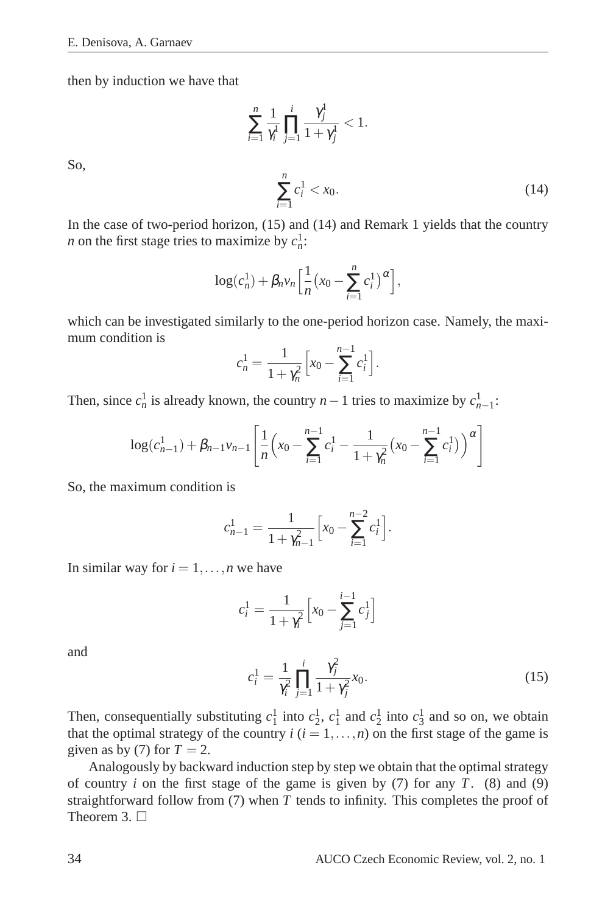So,

then by induction we have that

$$
\sum_{i=1}^{n} \frac{1}{\gamma_i^1} \prod_{j=1}^{i} \frac{\gamma_j^1}{1 + \gamma_j^1} < 1.
$$
\n
$$
\sum_{i=1}^{n} c_i^1 < x_0.
$$
\n(14)

In the case of two-period horizon, (15) and (14) and Remark 1 yields that the country *n* on the first stage tries to maximize by  $c_n^1$ :

$$
\log(c_n^1) + \beta_n v_n \Big[ \frac{1}{n} \big( x_0 - \sum_{i=1}^n c_i^1 \big)^\alpha \Big],
$$

which can be investigated similarly to the one-period horizon case. Namely, the maximum condition is

$$
c_n^1 = \frac{1}{1 + \gamma_n^2} \left[ x_0 - \sum_{i=1}^{n-1} c_i^1 \right].
$$

Then, since  $c_n^1$  is already known, the country  $n-1$  tries to maximize by  $c_{n-1}^1$ :

$$
\log(c_{n-1}^1) + \beta_{n-1} \nu_{n-1} \left[ \frac{1}{n} \left( x_0 - \sum_{i=1}^{n-1} c_i^1 - \frac{1}{1 + \gamma_n^2} \left( x_0 - \sum_{i=1}^{n-1} c_i^1 \right) \right)^\alpha \right]
$$

So, the maximum condition is

$$
c_{n-1}^1 = \frac{1}{1 + \gamma_{n-1}^2} \left[ x_0 - \sum_{i=1}^{n-2} c_i^1 \right].
$$

In similar way for  $i = 1, \ldots, n$  we have

$$
c_i^1 = \frac{1}{1 + \gamma_i^2} \left[ x_0 - \sum_{j=1}^{i-1} c_j^1 \right]
$$

and

$$
c_i^1 = \frac{1}{\gamma_i^2} \prod_{j=1}^i \frac{\gamma_j^2}{1 + \gamma_j^2} x_0.
$$
 (15)

Then, consequentially substituting  $c_1^1$  into  $c_2^1$ ,  $c_1^1$  and  $c_2^1$  into  $c_3^1$  and so on, we obtain that the optimal strategy of the country  $i$  ( $i = 1, \ldots, n$ ) on the first stage of the game is given as by (7) for  $T = 2$ .

Analogously by backward induction step by step we obtain that the optimal strategy of country *i* on the first stage of the game is given by (7) for any *T*. (8) and (9) straightforward follow from (7) when *T* tends to infinity. This completes the proof of Theorem 3.  $\Box$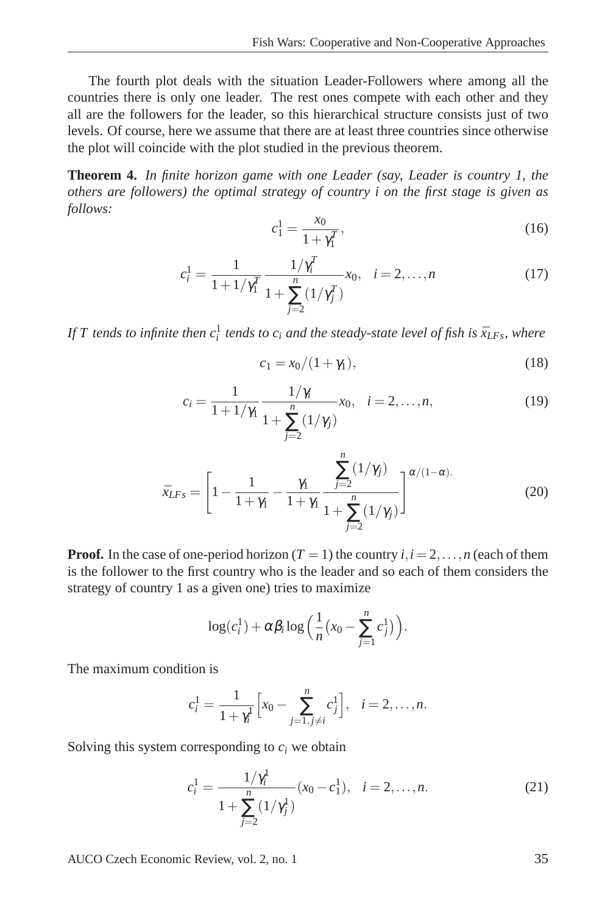The fourth plot deals with the situation Leader-Followers where among all the countries there is only one leader. The rest ones compete with each other and they all are the followers for the leader, so this hierarchical structure consists just of two levels. Of course, here we assume that there are at least three countries since otherwise the plot will coincide with the plot studied in the previous theorem.

**Theorem 4.** *In finite horizon game with one Leader (say, Leader is country 1, the others are followers) the optimal strategy of country i on the first stage is given as follows:*

$$
c_1^1 = \frac{x_0}{1 + \gamma_1^T},\tag{16}
$$

$$
c_i^1 = \frac{1}{1 + 1/\gamma_1^T} \frac{1/\gamma_i^T}{1 + \sum_{j=2}^n (1/\gamma_j^T)} x_0, \quad i = 2, \dots, n
$$
 (17)

*If*  $T$  tends to infinite then  $c_i^1$  tends to  $c_i$  and the steady-state level of fish is  $\bar{x}_{LFs}$ , where

$$
c_1 = x_0/(1+\gamma_1),
$$
\n(18)

$$
c_i = \frac{1}{1 + 1/\gamma_1} \frac{1/\gamma_i}{1 + \sum_{j=2}^n (1/\gamma_j)} x_0, \quad i = 2, ..., n,
$$
 (19)

$$
\bar{x}_{LFs} = \left[1 - \frac{1}{1 + \gamma_1} - \frac{\gamma_1}{1 + \gamma_1} \frac{\sum_{j=2}^{n} (1/\gamma_j)}{1 + \sum_{j=2}^{n} (1/\gamma_j)}\right]^{\alpha/(1-\alpha)}.
$$
\n(20)

**Proof.** In the case of one-period horizon ( $T = 1$ ) the country  $i, i = 2, \ldots, n$  (each of them is the follower to the first country who is the leader and so each of them considers the strategy of country 1 as a given one) tries to maximize

$$
\log(c_i^1) + \alpha \beta_i \log \Big( \frac{1}{n} \big( x_0 - \sum_{j=1}^n c_j^1 \big) \Big).
$$

The maximum condition is

$$
c_i^1 = \frac{1}{1 + \gamma_i^1} \left[ x_0 - \sum_{j=1, j \neq i}^n c_j^1 \right], \quad i = 2, \dots, n.
$$

Solving this system corresponding to  $c_i$  we obtain

$$
c_i^1 = \frac{1/\gamma_i^1}{1 + \sum_{j=2}^n (1/\gamma_j^1)} (x_0 - c_1^1), \quad i = 2, \dots, n.
$$
 (21)

AUCO Czech Economic Review, vol. 2, no. 1 35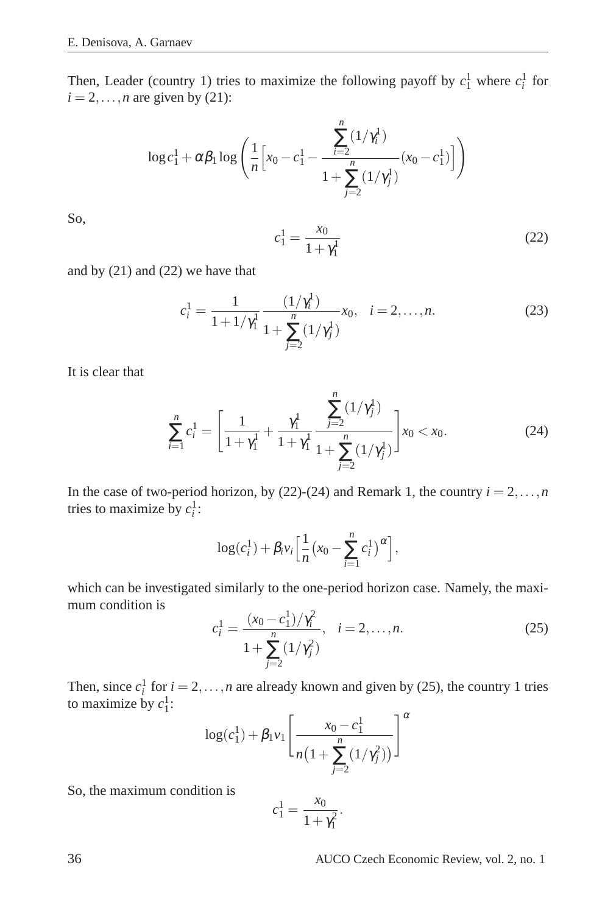Then, Leader (country 1) tries to maximize the following payoff by  $c_1^1$  where  $c_i^1$  for  $i = 2, \ldots, n$  are given by (21):

$$
\log c_1^1 + \alpha \beta_1 \log \left( \frac{1}{n} \Big[ x_0 - c_1^1 - \frac{\sum_{i=2}^n (1/\gamma_i^1)}{1 + \sum_{j=2}^n (1/\gamma_j^1)} (x_0 - c_1^1) \Big] \right)
$$

So,

$$
c_1^1 = \frac{x_0}{1 + \gamma_1^1} \tag{22}
$$

and by (21) and (22) we have that

$$
c_i^1 = \frac{1}{1 + 1/\gamma_1^1} \frac{(1/\gamma_i^1)}{1 + \sum_{j=2}^n (1/\gamma_j^1)} x_0, \quad i = 2, \dots, n.
$$
 (23)

It is clear that

$$
\sum_{i=1}^{n} c_i^1 = \left[ \frac{1}{1 + \gamma_1^1} + \frac{\gamma_1^1}{1 + \gamma_1^1} \frac{\sum_{j=2}^{n} (1/\gamma_j^1)}{1 + \sum_{j=2}^{n} (1/\gamma_j^1)} \right] x_0 < x_0. \tag{24}
$$

In the case of two-period horizon, by (22)-(24) and Remark 1, the country  $i = 2, \ldots, n$ tries to maximize by  $c_i^1$ :

$$
\log(c_i^1) + \beta_i v_i \left[ \frac{1}{n} \left( x_0 - \sum_{i=1}^n c_i^1 \right)^{\alpha} \right],
$$

which can be investigated similarly to the one-period horizon case. Namely, the maximum condition is

$$
c_i^1 = \frac{(x_0 - c_1^1)/\gamma_i^2}{1 + \sum_{j=2}^n (1/\gamma_j^2)}, \quad i = 2, \dots, n.
$$
 (25)

Then, since  $c_i^1$  for  $i = 2, ..., n$  are already known and given by (25), the country 1 tries to maximize by  $c_1^1$ :  $\neg \alpha$ 

$$
\log(c_1^1) + \beta_1 v_1 \left[ \frac{x_0 - c_1^1}{n \left( 1 + \sum_{j=2}^n (1/\gamma_j^2) \right)} \right]^t
$$

So, the maximum condition is

$$
c_1^1 = \frac{x_0}{1 + \gamma_1^2}.
$$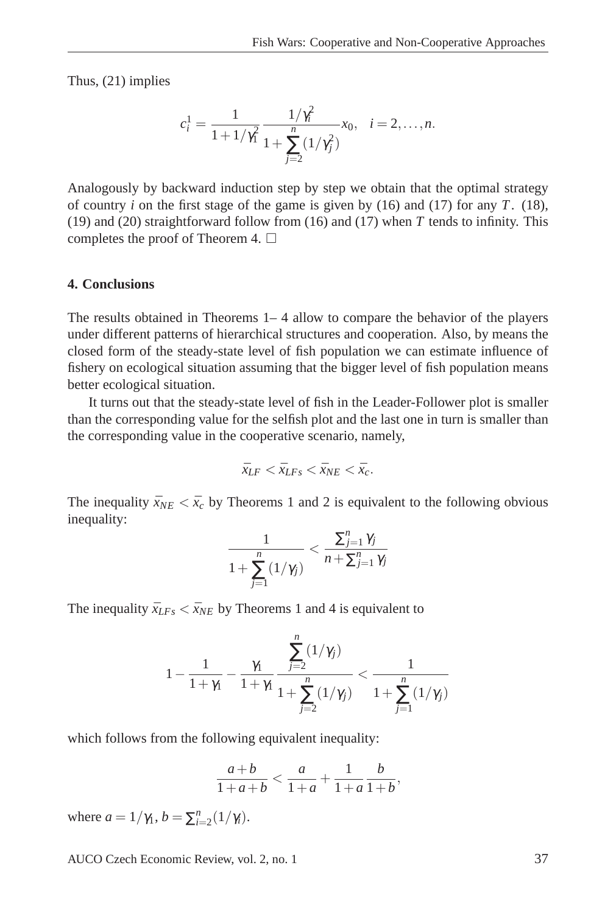Thus, (21) implies

$$
c_i^1 = \frac{1}{1 + 1/\gamma_1^2} \frac{1/\gamma_i^2}{1 + \sum_{j=2}^n (1/\gamma_j^2)} x_0, \quad i = 2, \dots, n.
$$

Analogously by backward induction step by step we obtain that the optimal strategy of country *i* on the first stage of the game is given by (16) and (17) for any *T*. (18), (19) and (20) straightforward follow from (16) and (17) when *T* tends to infinity. This completes the proof of Theorem 4.  $\Box$ 

#### **4. Conclusions**

The results obtained in Theorems 1– 4 allow to compare the behavior of the players under different patterns of hierarchical structures and cooperation. Also, by means the closed form of the steady-state level of fish population we can estimate influence of fishery on ecological situation assuming that the bigger level of fish population means better ecological situation.

It turns out that the steady-state level of fish in the Leader-Follower plot is smaller than the corresponding value for the selfish plot and the last one in turn is smaller than the corresponding value in the cooperative scenario, namely,

$$
\bar{x}_{LF} < \bar{x}_{LFs} < \bar{x}_{NE} < \bar{x}_{c}.
$$

The inequality  $\bar{x}_{NE} < \bar{x}_{c}$  by Theorems 1 and 2 is equivalent to the following obvious inequality:

$$
\frac{1}{1+\sum_{j=1}^n (1/\gamma_j)} < \frac{\sum_{j=1}^n \gamma_j}{n+\sum_{j=1}^n \gamma_j}
$$

The inequality  $\bar{x}_{LFS} < \bar{x}_{NE}$  by Theorems 1 and 4 is equivalent to

$$
1 - \frac{1}{1 + \gamma_1} - \frac{\gamma_1}{1 + \gamma_1} \frac{\sum_{j=2}^{n} (1/\gamma_j)}{1 + \sum_{j=2}^{n} (1/\gamma_j)} < \frac{1}{1 + \sum_{j=1}^{n} (1/\gamma_j)}
$$

which follows from the following equivalent inequality:

$$
\frac{a+b}{1+a+b} < \frac{a}{1+a} + \frac{1}{1+a} \frac{b}{1+b},
$$

where  $a = 1/\gamma_1$ ,  $b = \sum_{i=2}^{n} (1/\gamma_i)$ .

AUCO Czech Economic Review, vol. 2, no. 1 37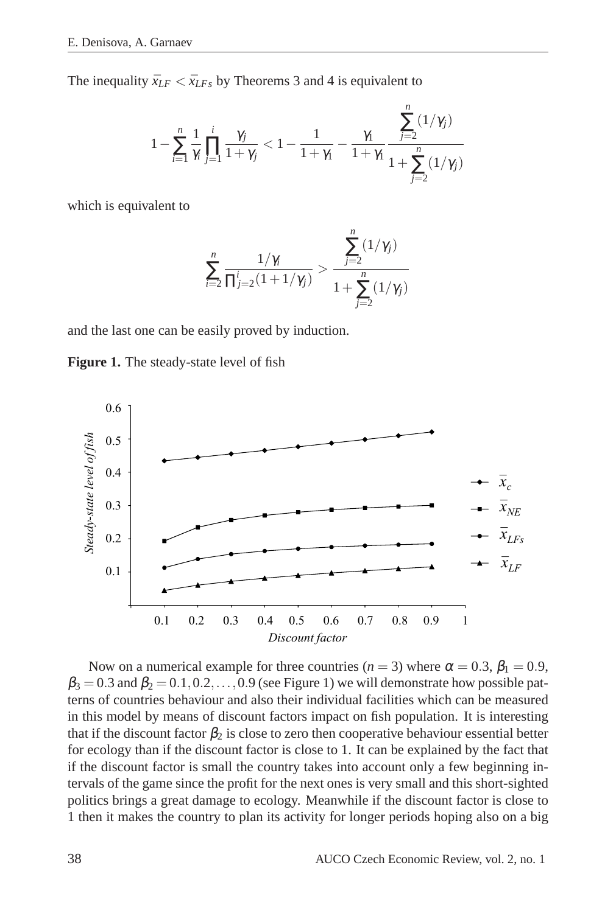The inequality  $\bar{x}_{LF} < \bar{x}_{LFs}$  by Theorems 3 and 4 is equivalent to

$$
1 - \sum_{i=1}^n \frac{1}{\gamma_i} \prod_{j=1}^i \frac{\gamma_j}{1 + \gamma_j} < 1 - \frac{1}{1 + \gamma_1} - \frac{\gamma_1}{1 + \gamma_1} \frac{\sum_{j=2}^n (1/\gamma_j)}{1 + \sum_{j=2}^n (1/\gamma_j)}
$$

which is equivalent to

$$
\sum_{i=2}^{n} \frac{1/\gamma_i}{\prod_{j=2}^{i} (1+1/\gamma_j)} > \frac{\sum_{j=2}^{n} (1/\gamma_j)}{1 + \sum_{j=2}^{n} (1/\gamma_j)}
$$

and the last one can be easily proved by induction.





Now on a numerical example for three countries ( $n = 3$ ) where  $\alpha = 0.3$ ,  $\beta_1 = 0.9$ ,  $\beta_3 = 0.3$  and  $\beta_2 = 0.1, 0.2, \ldots, 0.9$  (see Figure 1) we will demonstrate how possible patterns of countries behaviour and also their individual facilities which can be measured in this model by means of discount factors impact on fish population. It is interesting that if the discount factor  $\beta_2$  is close to zero then cooperative behaviour essential better for ecology than if the discount factor is close to 1. It can be explained by the fact that if the discount factor is small the country takes into account only a few beginning intervals of the game since the profit for the next ones is very small and this short-sighted politics brings a great damage to ecology. Meanwhile if the discount factor is close to 1 then it makes the country to plan its activity for longer periods hoping also on a big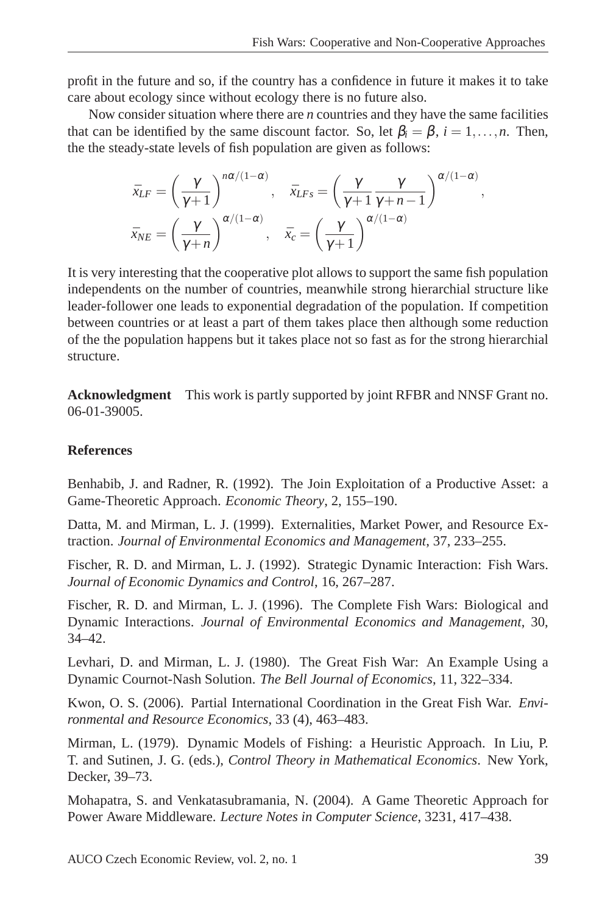profit in the future and so, if the country has a confidence in future it makes it to take care about ecology since without ecology there is no future also.

Now consider situation where there are *n* countries and they have the same facilities that can be identified by the same discount factor. So, let  $\beta_i = \beta$ ,  $i = 1, \ldots, n$ . Then, the the steady-state levels of fish population are given as follows:

$$
\bar{x}_{LF} = \left(\frac{\gamma}{\gamma+1}\right)^{n\alpha/(1-\alpha)}, \quad \bar{x}_{LFs} = \left(\frac{\gamma}{\gamma+1} \frac{\gamma}{\gamma+n-1}\right)^{\alpha/(1-\alpha)},
$$
\n
$$
\bar{x}_{NE} = \left(\frac{\gamma}{\gamma+n}\right)^{\alpha/(1-\alpha)}, \quad \bar{x}_c = \left(\frac{\gamma}{\gamma+1}\right)^{\alpha/(1-\alpha)}
$$

It is very interesting that the cooperative plot allows to support the same fish population independents on the number of countries, meanwhile strong hierarchial structure like leader-follower one leads to exponential degradation of the population. If competition between countries or at least a part of them takes place then although some reduction of the the population happens but it takes place not so fast as for the strong hierarchial structure.

**Acknowledgment** This work is partly supported by joint RFBR and NNSF Grant no. 06-01-39005.

### **References**

Benhabib, J. and Radner, R. (1992). The Join Exploitation of a Productive Asset: a Game-Theoretic Approach. *Economic Theory*, 2, 155–190.

Datta, M. and Mirman, L. J. (1999). Externalities, Market Power, and Resource Extraction. *Journal of Environmental Economics and Management*, 37, 233–255.

Fischer, R. D. and Mirman, L. J. (1992). Strategic Dynamic Interaction: Fish Wars. *Journal of Economic Dynamics and Control*, 16, 267–287.

Fischer, R. D. and Mirman, L. J. (1996). The Complete Fish Wars: Biological and Dynamic Interactions. *Journal of Environmental Economics and Management*, 30, 34–42.

Levhari, D. and Mirman, L. J. (1980). The Great Fish War: An Example Using a Dynamic Cournot-Nash Solution. *The Bell Journal of Economics*, 11, 322–334.

Kwon, O. S. (2006). Partial International Coordination in the Great Fish War. *Environmental and Resource Economics*, 33 (4), 463–483.

Mirman, L. (1979). Dynamic Models of Fishing: a Heuristic Approach. In Liu, P. T. and Sutinen, J. G. (eds.), *Control Theory in Mathematical Economics*. New York, Decker, 39–73.

Mohapatra, S. and Venkatasubramania, N. (2004). A Game Theoretic Approach for Power Aware Middleware. *Lecture Notes in Computer Science*, 3231, 417–438.